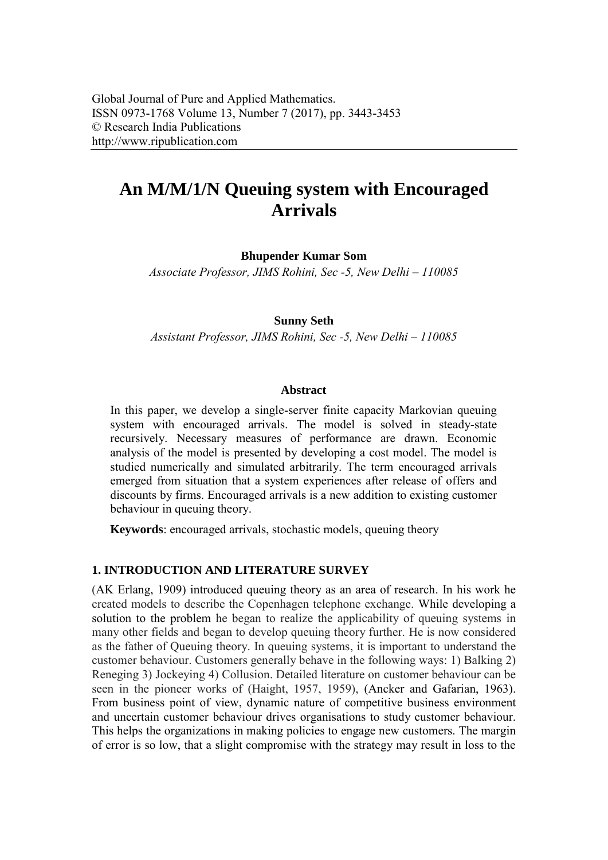# **An M/M/1/N Queuing system with Encouraged Arrivals**

**Bhupender Kumar Som** 

*Associate Professor, JIMS Rohini, Sec -5, New Delhi – 110085* 

#### **Sunny Seth**

*Assistant Professor, JIMS Rohini, Sec -5, New Delhi – 110085* 

#### **Abstract**

In this paper, we develop a single-server finite capacity Markovian queuing system with encouraged arrivals. The model is solved in steady-state recursively. Necessary measures of performance are drawn. Economic analysis of the model is presented by developing a cost model. The model is studied numerically and simulated arbitrarily. The term encouraged arrivals emerged from situation that a system experiences after release of offers and discounts by firms. Encouraged arrivals is a new addition to existing customer behaviour in queuing theory.

**Keywords**: encouraged arrivals, stochastic models, queuing theory

### **1. INTRODUCTION AND LITERATURE SURVEY**

(AK Erlang, 1909) introduced queuing theory as an area of research. In his work he created models to describe the Copenhagen telephone exchange. While developing a solution to the problem he began to realize the applicability of queuing systems in many other fields and began to develop queuing theory further. He is now considered as the father of Queuing theory. In queuing systems, it is important to understand the customer behaviour. Customers generally behave in the following ways: 1) Balking 2) Reneging 3) Jockeying 4) Collusion. Detailed literature on customer behaviour can be seen in the pioneer works of (Haight, 1957, 1959), (Ancker and Gafarian, 1963). From business point of view, dynamic nature of competitive business environment and uncertain customer behaviour drives organisations to study customer behaviour. This helps the organizations in making policies to engage new customers. The margin of error is so low, that a slight compromise with the strategy may result in loss to the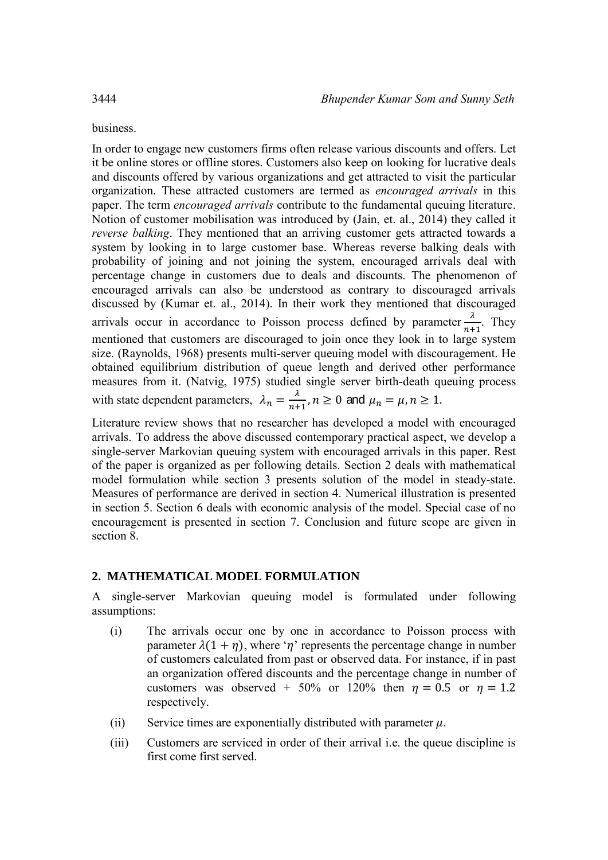business.

In order to engage new customers firms often release various discounts and offers. Let it be online stores or offline stores. Customers also keep on looking for lucrative deals and discounts offered by various organizations and get attracted to visit the particular organization. These attracted customers are termed as *encouraged arrivals* in this paper. The term *encouraged arrivals* contribute to the fundamental queuing literature. Notion of customer mobilisation was introduced by (Jain, et. al., 2014) they called it *reverse balking*. They mentioned that an arriving customer gets attracted towards a system by looking in to large customer base. Whereas reverse balking deals with probability of joining and not joining the system, encouraged arrivals deal with percentage change in customers due to deals and discounts. The phenomenon of encouraged arrivals can also be understood as contrary to discouraged arrivals discussed by (Kumar et. al., 2014). In their work they mentioned that discouraged arrivals occur in accordance to Poisson process defined by parameter  $\frac{\lambda}{n+1}$ . They mentioned that customers are discouraged to join once they look in to large system size. (Raynolds, 1968) presents multi-server queuing model with discouragement. He obtained equilibrium distribution of queue length and derived other performance measures from it. (Natvig, 1975) studied single server birth-death queuing process with state dependent parameters,  $\lambda_n = \frac{\lambda}{n+1}$  $\frac{n}{n+1}$ ,  $n \geq 0$  and  $\mu_n = \mu, n \geq 1$ .

Literature review shows that no researcher has developed a model with encouraged arrivals. To address the above discussed contemporary practical aspect, we develop a single-server Markovian queuing system with encouraged arrivals in this paper. Rest of the paper is organized as per following details. Section 2 deals with mathematical model formulation while section 3 presents solution of the model in steady-state. Measures of performance are derived in section 4. Numerical illustration is presented in section 5. Section 6 deals with economic analysis of the model. Special case of no encouragement is presented in section 7. Conclusion and future scope are given in section 8.

#### **2. MATHEMATICAL MODEL FORMULATION**

A single-server Markovian queuing model is formulated under following assumptions:

- (i) The arrivals occur one by one in accordance to Poisson process with parameter  $\lambda(1 + \eta)$ , where ' $\eta$ ' represents the percentage change in number of customers calculated from past or observed data. For instance, if in past an organization offered discounts and the percentage change in number of customers was observed + 50% or 120% then  $\eta = 0.5$  or  $\eta = 1.2$ respectively.
- (ii) Service times are exponentially distributed with parameter  $\mu$ .
- (iii) Customers are serviced in order of their arrival i.e. the queue discipline is first come first served.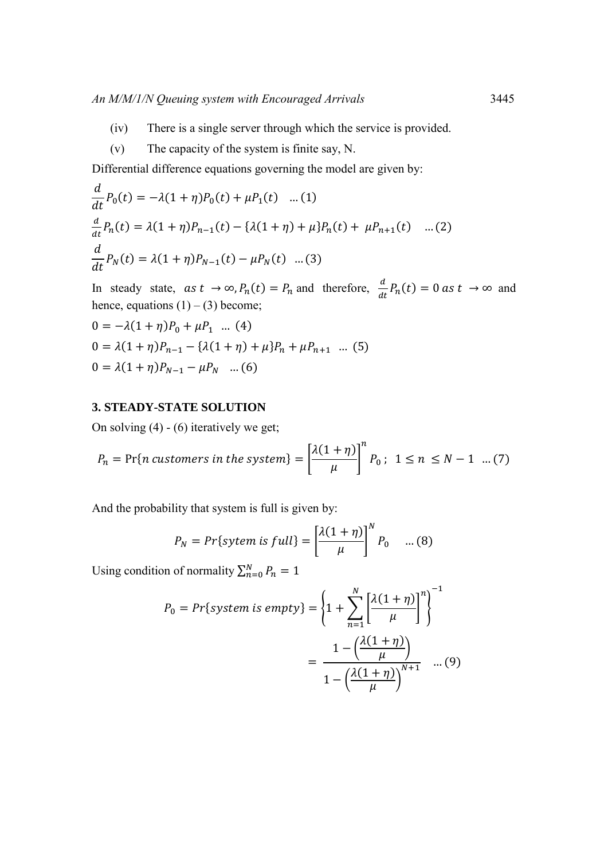- (iv) There is a single server through which the service is provided.
- (v) The capacity of the system is finite say, N.

Differential difference equations governing the model are given by:

$$
\frac{d}{dt}P_0(t) = -\lambda(1+\eta)P_0(t) + \mu P_1(t) \quad ...(1)
$$
\n
$$
\frac{d}{dt}P_n(t) = \lambda(1+\eta)P_{n-1}(t) - \lambda(1+\eta) + \mu P_n(t) + \mu P_{n+1}(t) \quad ...(2)
$$
\n
$$
\frac{d}{dt}P_N(t) = \lambda(1+\eta)P_{N-1}(t) - \mu P_N(t) \quad ...(3)
$$

In steady state,  $as t \to \infty$ ,  $P_n(t) = P_n$  and therefore,  $\frac{d}{dt}P_n(t) = 0$  as  $t \to \infty$  and hence, equations  $(1) - (3)$  become;

$$
0 = -\lambda (1 + \eta) P_0 + \mu P_1 \dots (4)
$$
  
\n
$$
0 = \lambda (1 + \eta) P_{n-1} - \{\lambda (1 + \eta) + \mu \} P_n + \mu P_{n+1} \dots (5)
$$
  
\n
$$
0 = \lambda (1 + \eta) P_{N-1} - \mu P_N \dots (6)
$$

#### **3. STEADY-STATE SOLUTION**

On solving (4) - (6) iteratively we get;

$$
P_n = \Pr\{n \text{ customers in the system}\} = \left[\frac{\lambda(1+\eta)}{\mu}\right]^n P_0; \ 1 \le n \le N-1 \ \dots (7)
$$

And the probability that system is full is given by:

$$
P_N = Pr\{system \text{ is full}\} = \left[\frac{\lambda(1+\eta)}{\mu}\right]^N P_0 \quad \dots (8)
$$

 $\ddot{\phantom{a}}$ 

Using condition of normality  $\sum_{n=0}^{N} P_n = 1$ 

$$
P_0 = Pr\{system \text{ is empty}\} = \left\{1 + \sum_{n=1}^{N} \left[\frac{\lambda(1+\eta)}{\mu}\right]^n\right\}^{-1}
$$

$$
= \frac{1 - \left(\frac{\lambda(1+\eta)}{\mu}\right)}{1 - \left(\frac{\lambda(1+\eta)}{\mu}\right)^{N+1}} \quad \dots (9)
$$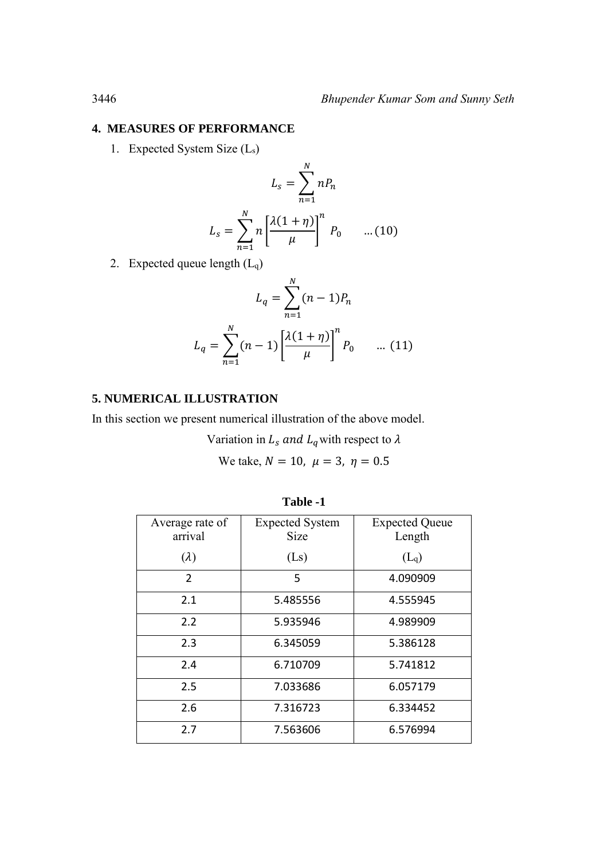#### **4. MEASURES OF PERFORMANCE**

1. Expected System Size (Ls)

$$
L_s = \sum_{n=1}^{N} nP_n
$$

$$
L_s = \sum_{n=1}^{N} n\left[\frac{\lambda(1+\eta)}{\mu}\right]^n P_0 \qquad \dots (10)
$$

2. Expected queue length  $(L_q)$ 

$$
L_q = \sum_{n=1}^{N} (n-1) P_n
$$
  

$$
L_q = \sum_{n=1}^{N} (n-1) \left[ \frac{\lambda (1+\eta)}{\mu} \right]^n P_0 \quad \dots (11)
$$

## **5. NUMERICAL ILLUSTRATION**

In this section we present numerical illustration of the above model.

Variation in  $L_s$  and  $L_q$  with respect to  $\lambda$ 

We take,  $N = 10$ ,  $\mu = 3$ ,  $\eta = 0.5$ 

| Average rate of<br>arrival | <b>Expected System</b><br><b>Size</b> | <b>Expected Queue</b><br>Length |
|----------------------------|---------------------------------------|---------------------------------|
| $(\lambda)$                | (Ls)                                  | $(L_q)$                         |
| 2                          | 5                                     | 4.090909                        |
| 2.1                        | 5.485556                              | 4.555945                        |
| 2.2                        | 5.935946                              | 4.989909                        |
| 2.3                        | 6.345059                              | 5.386128                        |
| 2.4                        | 6.710709                              | 5.741812                        |
| 2.5                        | 7.033686                              | 6.057179                        |
| 2.6                        | 7.316723                              | 6.334452                        |
| 2.7                        | 7.563606                              | 6.576994                        |

**Table -1**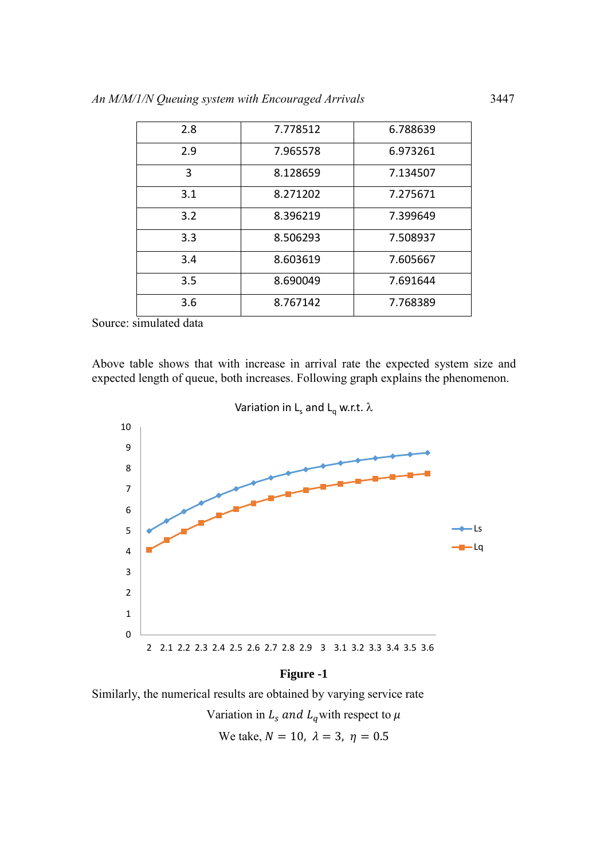| 2.8 | 7.778512 | 6.788639 |
|-----|----------|----------|
| 2.9 | 7.965578 | 6.973261 |
| 3   | 8.128659 | 7.134507 |
| 3.1 | 8.271202 | 7.275671 |
| 3.2 | 8.396219 | 7.399649 |
| 3.3 | 8.506293 | 7.508937 |
| 3.4 | 8.603619 | 7.605667 |
| 3.5 | 8.690049 | 7.691644 |
| 3.6 | 8.767142 | 7.768389 |

Source: simulated data

Above table shows that with increase in arrival rate the expected system size and expected length of queue, both increases. Following graph explains the phenomenon.



#### **Figure -1**

Similarly, the numerical results are obtained by varying service rate

Variation in  $L_s$  and  $L_q$  with respect to  $\mu$ 

We take,  $N = 10$ ,  $\lambda = 3$ ,  $\eta = 0.5$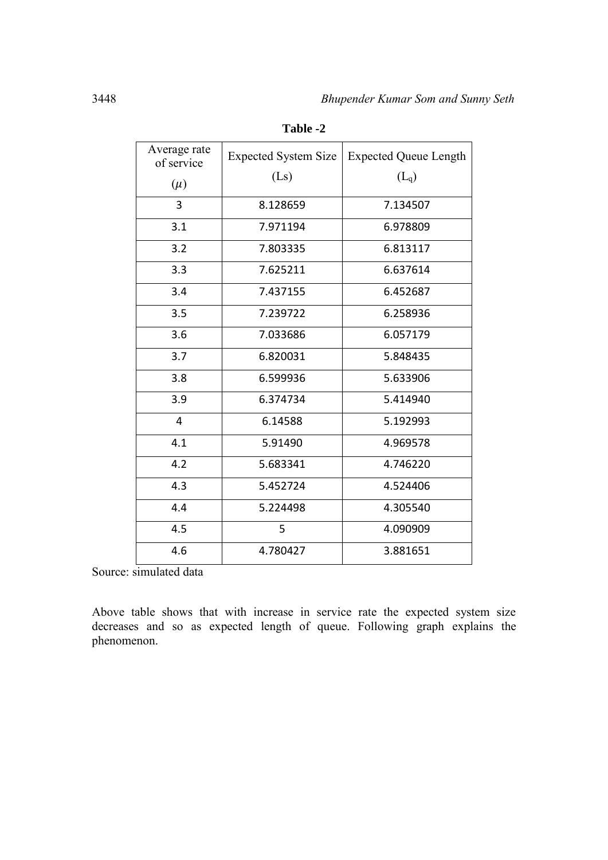| Average rate   | <b>Expected System Size</b> | <b>Expected Queue Length</b> |  |
|----------------|-----------------------------|------------------------------|--|
| of service     | (Ls)                        | $(L_q)$                      |  |
| $(\mu)$        |                             |                              |  |
| 3              | 8.128659                    | 7.134507                     |  |
| 3.1            | 7.971194                    | 6.978809                     |  |
| 3.2            | 7.803335                    | 6.813117                     |  |
| 3.3            | 7.625211                    | 6.637614                     |  |
| 3.4            | 7.437155                    | 6.452687                     |  |
| 3.5            | 7.239722                    | 6.258936                     |  |
| 3.6            | 7.033686                    | 6.057179                     |  |
| 3.7            | 6.820031                    | 5.848435                     |  |
| 3.8            | 6.599936                    | 5.633906                     |  |
| 3.9            | 6.374734                    | 5.414940                     |  |
| $\overline{4}$ | 6.14588                     | 5.192993                     |  |
| 4.1            | 5.91490                     | 4.969578                     |  |
| 4.2            | 5.683341                    | 4.746220                     |  |
| 4.3            | 5.452724                    | 4.524406                     |  |
| 4.4            | 5.224498                    | 4.305540                     |  |
| 4.5            | 5                           | 4.090909                     |  |
| 4.6            | 4.780427                    | 3.881651                     |  |

**Table -2**

Source: simulated data

Above table shows that with increase in service rate the expected system size decreases and so as expected length of queue. Following graph explains the phenomenon.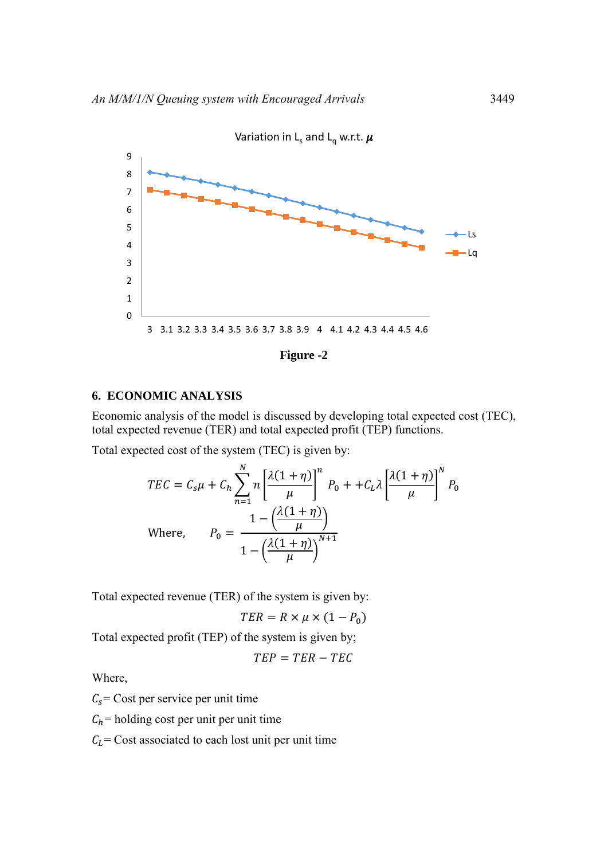

**Figure -2** 

## **6. ECONOMIC ANALYSIS**

Economic analysis of the model is discussed by developing total expected cost (TEC), total expected revenue (TER) and total expected profit (TEP) functions.

Total expected cost of the system (TEC) is given by:

$$
TEC = C_{s}\mu + C_{h} \sum_{n=1}^{N} n \left[ \frac{\lambda(1+\eta)}{\mu} \right]^{n} P_{0} + +C_{L}\lambda \left[ \frac{\lambda(1+\eta)}{\mu} \right]^{N} P_{0}
$$
  
Where, 
$$
P_{0} = \frac{1 - \left( \frac{\lambda(1+\eta)}{\mu} \right)}{1 - \left( \frac{\lambda(1+\eta)}{\mu} \right)^{N+1}}
$$

Total expected revenue (TER) of the system is given by:

$$
TER = R \times \mu \times (1 - P_0)
$$

Total expected profit (TEP) of the system is given by;

$$
TEP = TER - TEC
$$

Where,

 $C_s$  Cost per service per unit time

 $C_h$ = holding cost per unit per unit time

 $C<sub>L</sub>$  = Cost associated to each lost unit per unit time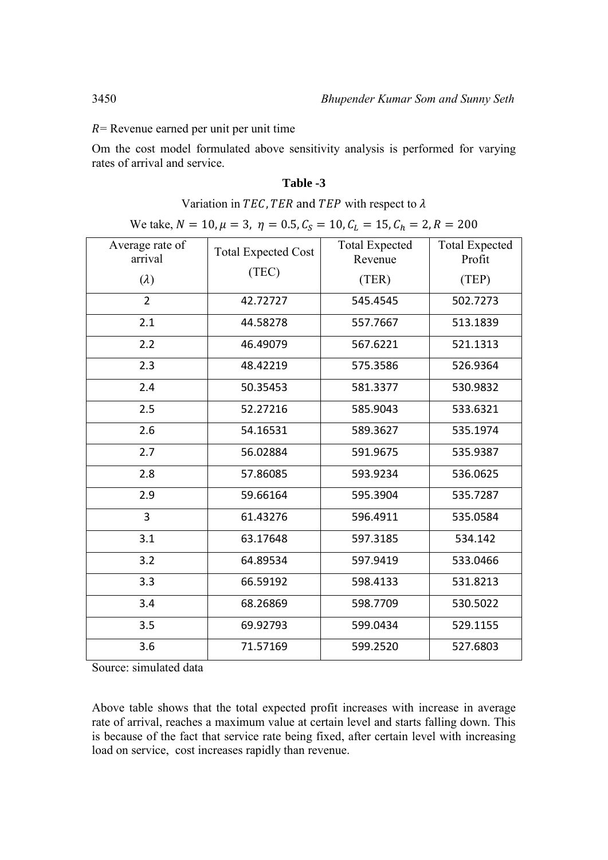$R$  = Revenue earned per unit per unit time

Om the cost model formulated above sensitivity analysis is performed for varying rates of arrival and service.

### **Table -3**

Variation in TEC, TER and TEP with respect to  $\lambda$ 

We take,  $N = 10$ ,  $\mu = 3$ ,  $\eta = 0.5$ ,  $C_S = 10$ ,  $C_L = 15$ ,  $C_h = 2$ ,  $R = 200$ 

| Average rate of<br>arrival | <b>Total Expected Cost</b> | <b>Total Expected</b><br>Revenue | <b>Total Expected</b><br>Profit |
|----------------------------|----------------------------|----------------------------------|---------------------------------|
| $(\lambda)$                | (TEC)                      | (TER)                            | (TEP)                           |
| $\overline{2}$             | 42.72727                   | 545.4545                         | 502.7273                        |
| 2.1                        | 44.58278                   | 557.7667                         | 513.1839                        |
| 2.2                        | 46.49079                   | 567.6221                         | 521.1313                        |
| 2.3                        | 48.42219                   | 575.3586                         | 526.9364                        |
| 2.4                        | 50.35453                   | 581.3377                         | 530.9832                        |
| 2.5                        | 52.27216                   | 585.9043                         | 533.6321                        |
| 2.6                        | 54.16531                   | 589.3627                         | 535.1974                        |
| 2.7                        | 56.02884                   | 591.9675                         | 535.9387                        |
| 2.8                        | 57.86085                   | 593.9234                         | 536.0625                        |
| 2.9                        | 59.66164                   | 595.3904                         | 535.7287                        |
| $\overline{3}$             | 61.43276                   | 596.4911                         | 535.0584                        |
| 3.1                        | 63.17648                   | 597.3185                         | 534.142                         |
| 3.2                        | 64.89534                   | 597.9419                         | 533.0466                        |
| 3.3                        | 66.59192                   | 598.4133                         | 531.8213                        |
| 3.4                        | 68.26869                   | 598.7709                         | 530.5022                        |
| 3.5                        | 69.92793                   | 599.0434                         | 529.1155                        |
| 3.6                        | 71.57169                   | 599.2520                         | 527.6803                        |

Source: simulated data

Above table shows that the total expected profit increases with increase in average rate of arrival, reaches a maximum value at certain level and starts falling down. This is because of the fact that service rate being fixed, after certain level with increasing load on service, cost increases rapidly than revenue.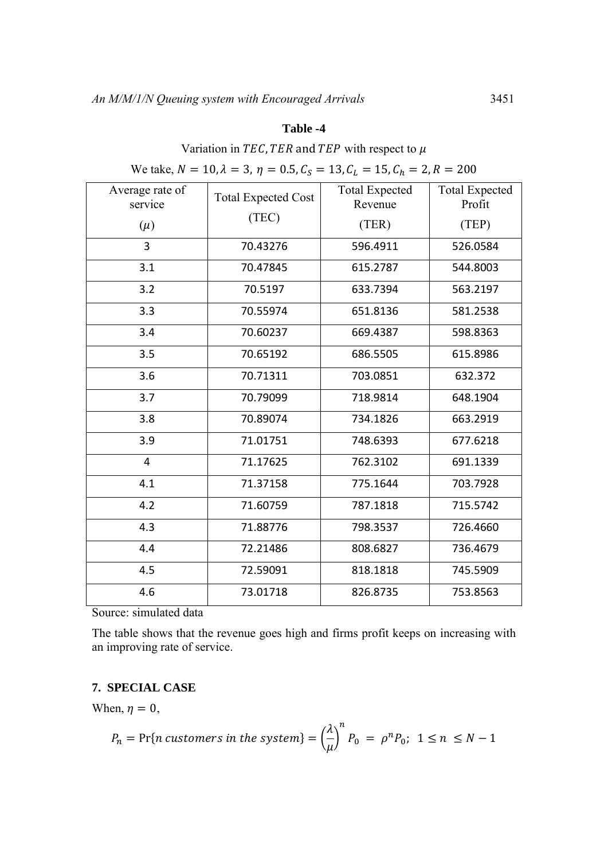#### **Table -4**

# Variation in TEC, TER and TEP with respect to  $\mu$

| $\alpha$ and $\alpha$ , $\alpha$ - $\alpha$ , $\alpha$ - $\beta$ , $\alpha$ - $\alpha$ , $\alpha$ , $\alpha$ - $\alpha$ , $\alpha$ - $\alpha$ , $\alpha$ - $\alpha$ , $\alpha$ - $\alpha$ |                            |                                  |                                 |  |
|-------------------------------------------------------------------------------------------------------------------------------------------------------------------------------------------|----------------------------|----------------------------------|---------------------------------|--|
| Average rate of<br>service                                                                                                                                                                | <b>Total Expected Cost</b> | <b>Total Expected</b><br>Revenue | <b>Total Expected</b><br>Profit |  |
| $(\mu)$                                                                                                                                                                                   | (TEC)                      | (TER)                            | (TEP)                           |  |
| 3                                                                                                                                                                                         | 70.43276                   | 596.4911                         | 526.0584                        |  |
| 3.1                                                                                                                                                                                       | 70.47845                   | 615.2787                         | 544.8003                        |  |
| 3.2                                                                                                                                                                                       | 70.5197                    | 633.7394                         | 563.2197                        |  |
| 3.3                                                                                                                                                                                       | 70.55974                   | 651.8136                         | 581.2538                        |  |
| 3.4                                                                                                                                                                                       | 70.60237                   | 669.4387                         | 598.8363                        |  |
| 3.5                                                                                                                                                                                       | 70.65192                   | 686.5505                         | 615.8986                        |  |
| 3.6                                                                                                                                                                                       | 70.71311                   | 703.0851                         | 632.372                         |  |
| 3.7                                                                                                                                                                                       | 70.79099                   | 718.9814                         | 648.1904                        |  |
| 3.8                                                                                                                                                                                       | 70.89074                   | 734.1826                         | 663.2919                        |  |
| 3.9                                                                                                                                                                                       | 71.01751                   | 748.6393                         | 677.6218                        |  |
| 4                                                                                                                                                                                         | 71.17625                   | 762.3102                         | 691.1339                        |  |
| 4.1                                                                                                                                                                                       | 71.37158                   | 775.1644                         | 703.7928                        |  |
| 4.2                                                                                                                                                                                       | 71.60759                   | 787.1818                         | 715.5742                        |  |
| 4.3                                                                                                                                                                                       | 71.88776                   | 798.3537                         | 726.4660                        |  |
| 4.4                                                                                                                                                                                       | 72.21486                   | 808.6827                         | 736.4679                        |  |
| 4.5                                                                                                                                                                                       | 72.59091                   | 818.1818                         | 745.5909                        |  |
| 4.6                                                                                                                                                                                       | 73.01718                   | 826.8735                         | 753.8563                        |  |
|                                                                                                                                                                                           |                            |                                  |                                 |  |

We take,  $N = 10$ ,  $\lambda = 3$ ,  $n = 0.5$ ,  $C_s = 13$ ,  $C_t = 15$ ,  $C_b = 2$ ,  $R = 200$ 

Source: simulated data

The table shows that the revenue goes high and firms profit keeps on increasing with an improving rate of service.

## **7. SPECIAL CASE**

When,  $\eta = 0$ ,

$$
P_n = \Pr\{n \text{ customers in the system}\} = \left(\frac{\lambda}{\mu}\right)^n P_0 = \rho^n P_0; \ 1 \le n \le N - 1
$$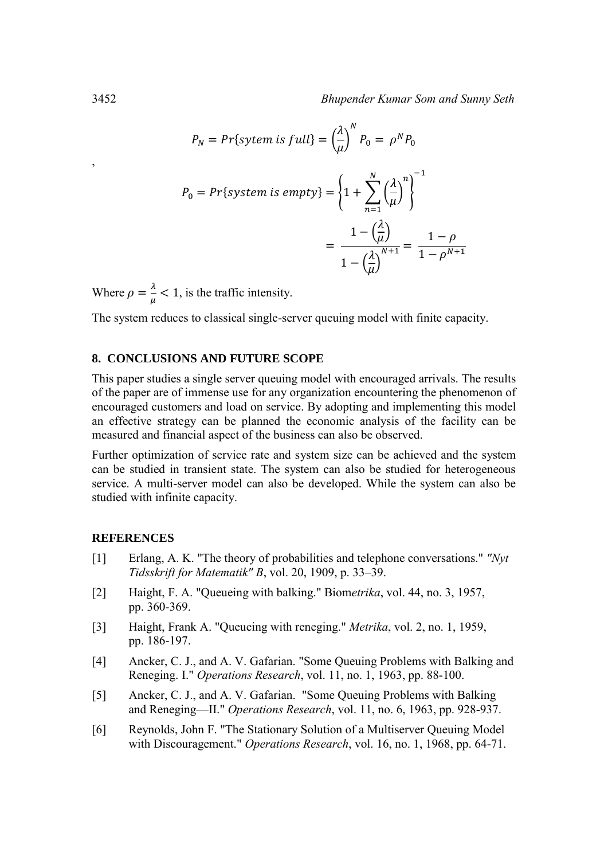$$
P_N = Pr\{system \text{ is full}\} = \left(\frac{\lambda}{\mu}\right)^N P_0 = \rho^N P_0
$$

$$
P_0 = Pr\{system \text{ is empty}\} = \left\{1 + \sum_{n=1}^N \left(\frac{\lambda}{\mu}\right)^n\right\}^{-1}
$$

$$
= \frac{1 - \left(\frac{\lambda}{\mu}\right)}{1 - \left(\frac{\lambda}{\mu}\right)^{N+1}} = \frac{1 - \rho}{1 - \rho^{N+1}}
$$

Where  $\rho = \frac{\lambda}{\mu}$  $\frac{\pi}{\mu}$  < 1, is the traffic intensity.

The system reduces to classical single-server queuing model with finite capacity.

#### **8. CONCLUSIONS AND FUTURE SCOPE**

This paper studies a single server queuing model with encouraged arrivals. The results of the paper are of immense use for any organization encountering the phenomenon of encouraged customers and load on service. By adopting and implementing this model an effective strategy can be planned the economic analysis of the facility can be measured and financial aspect of the business can also be observed.

Further optimization of service rate and system size can be achieved and the system can be studied in transient state. The system can also be studied for heterogeneous service. A multi-server model can also be developed. While the system can also be studied with infinite capacity.

#### **REFERENCES**

- [1] Erlang, A. K. "The theory of probabilities and telephone conversations." *"Nyt Tidsskrift for Matematik" B*, vol. 20, 1909, p. 33–39.
- [2] Haight, F. A. "Queueing with balking." Biom*etrika*, vol. 44, no. 3, 1957, pp. 360-369.
- [3] Haight, Frank A. "Queueing with reneging." *Metrika*, vol. 2, no. 1, 1959, pp. 186-197.
- [4] Ancker, C. J., and A. V. Gafarian. "Some Queuing Problems with Balking and Reneging. I." *Operations Research*, vol. 11, no. 1, 1963, pp. 88-100.
- [5] Ancker, C. J., and A. V. Gafarian. "Some Queuing Problems with Balking and Reneging—II." *Operations Research*, vol. 11, no. 6, 1963, pp. 928-937.
- [6] Reynolds, John F. "The Stationary Solution of a Multiserver Queuing Model with Discouragement." *Operations Research*, vol. 16, no. 1, 1968, pp. 64-71.

,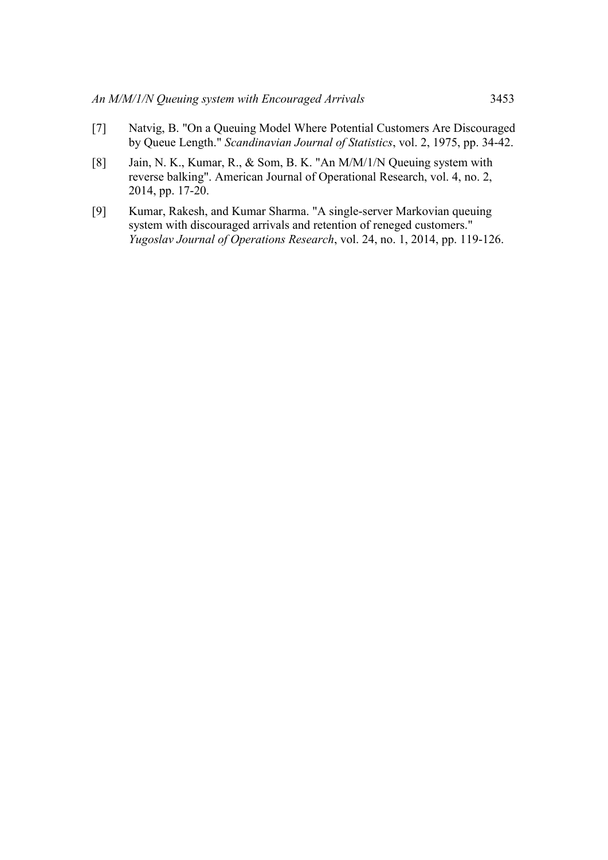- [7] Natvig, B. "On a Queuing Model Where Potential Customers Are Discouraged by Queue Length." *Scandinavian Journal of Statistics*, vol. 2, 1975, pp. 34-42.
- [8] Jain, N. K., Kumar, R., & Som, B. K. "An M/M/1/N Queuing system with reverse balking". American Journal of Operational Research, vol. 4, no. 2, 2014, pp. 17-20.
- [9] Kumar, Rakesh, and Kumar Sharma. "A single-server Markovian queuing system with discouraged arrivals and retention of reneged customers." *Yugoslav Journal of Operations Research*, vol. 24, no. 1, 2014, pp. 119-126.